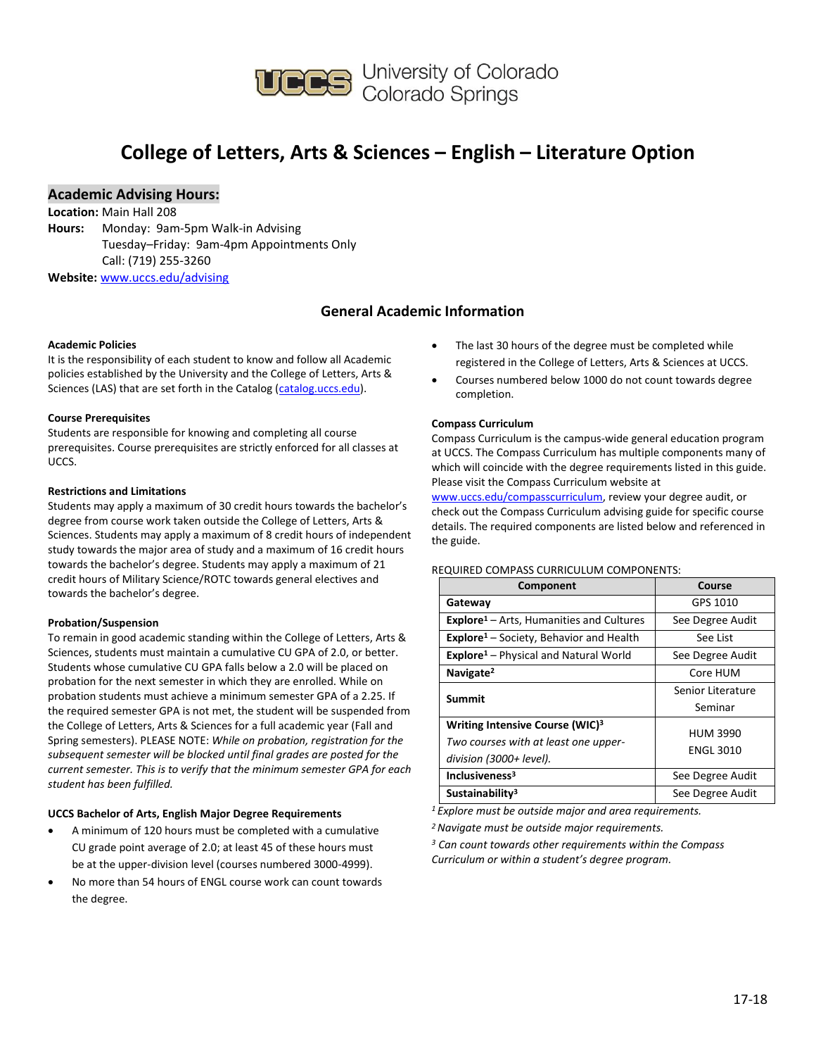

## **College of Letters, Arts & Sciences – English – Literature Option**

## **Academic Advising Hours:**

**Location:** Main Hall 208

**Hours:** Monday: 9am-5pm Walk-in Advising Tuesday–Friday: 9am-4pm Appointments Only Call: (719) 255-3260

**Website:** [www.uccs.edu/advising](http://www.uccs.edu/advising)

## **General Academic Information**

#### **Academic Policies**

It is the responsibility of each student to know and follow all Academic policies established by the University and the College of Letters, Arts & Sciences (LAS) that are set forth in the Catalog [\(catalog.uccs.edu\)](http://catalog.uccs.edu/).

### **Course Prerequisites**

Students are responsible for knowing and completing all course prerequisites. Course prerequisites are strictly enforced for all classes at UCCS.

#### **Restrictions and Limitations**

Students may apply a maximum of 30 credit hours towards the bachelor's degree from course work taken outside the College of Letters, Arts & Sciences. Students may apply a maximum of 8 credit hours of independent study towards the major area of study and a maximum of 16 credit hours towards the bachelor's degree. Students may apply a maximum of 21 credit hours of Military Science/ROTC towards general electives and towards the bachelor's degree.

### **Probation/Suspension**

To remain in good academic standing within the College of Letters, Arts & Sciences, students must maintain a cumulative CU GPA of 2.0, or better. Students whose cumulative CU GPA falls below a 2.0 will be placed on probation for the next semester in which they are enrolled. While on probation students must achieve a minimum semester GPA of a 2.25. If the required semester GPA is not met, the student will be suspended from the College of Letters, Arts & Sciences for a full academic year (Fall and Spring semesters). PLEASE NOTE: *While on probation, registration for the subsequent semester will be blocked until final grades are posted for the current semester. This is to verify that the minimum semester GPA for each student has been fulfilled.*

### **UCCS Bachelor of Arts, English Major Degree Requirements**

- A minimum of 120 hours must be completed with a cumulative CU grade point average of 2.0; at least 45 of these hours must be at the upper-division level (courses numbered 3000-4999).
- No more than 54 hours of ENGL course work can count towards the degree.
- The last 30 hours of the degree must be completed while registered in the College of Letters, Arts & Sciences at UCCS.
- Courses numbered below 1000 do not count towards degree completion.

#### **Compass Curriculum**

Compass Curriculum is the campus-wide general education program at UCCS. The Compass Curriculum has multiple components many of which will coincide with the degree requirements listed in this guide. Please visit the Compass Curriculum website at

[www.uccs.edu/compasscurriculum,](http://www.uccs.edu/compasscurriculum) review your degree audit, or check out the Compass Curriculum advising guide for specific course details. The required components are listed below and referenced in the guide.

#### REQUIRED COMPASS CURRICULUM COMPONENTS:

| Component                                                   | Course            |  |  |
|-------------------------------------------------------------|-------------------|--|--|
| Gateway                                                     | GPS 1010          |  |  |
| <b>Explore</b> <sup>1</sup> – Arts, Humanities and Cultures | See Degree Audit  |  |  |
| Explore <sup>1</sup> - Society, Behavior and Health         | See List          |  |  |
| <b>Explore</b> <sup>1</sup> – Physical and Natural World    | See Degree Audit  |  |  |
| Navigate <sup>2</sup>                                       | Core HUM          |  |  |
| Summit                                                      | Senior Literature |  |  |
|                                                             | Seminar           |  |  |
| Writing Intensive Course (WIC) <sup>3</sup>                 | <b>HUM 3990</b>   |  |  |
| Two courses with at least one upper-                        |                   |  |  |
| division (3000+ level).                                     | <b>ENGL 3010</b>  |  |  |
| Inclusiveness <sup>3</sup>                                  | See Degree Audit  |  |  |
| Sustainability <sup>3</sup>                                 | See Degree Audit  |  |  |

*<sup>1</sup>Explore must be outside major and area requirements.*

*<sup>2</sup>Navigate must be outside major requirements.*

*<sup>3</sup> Can count towards other requirements within the Compass Curriculum or within a student's degree program.*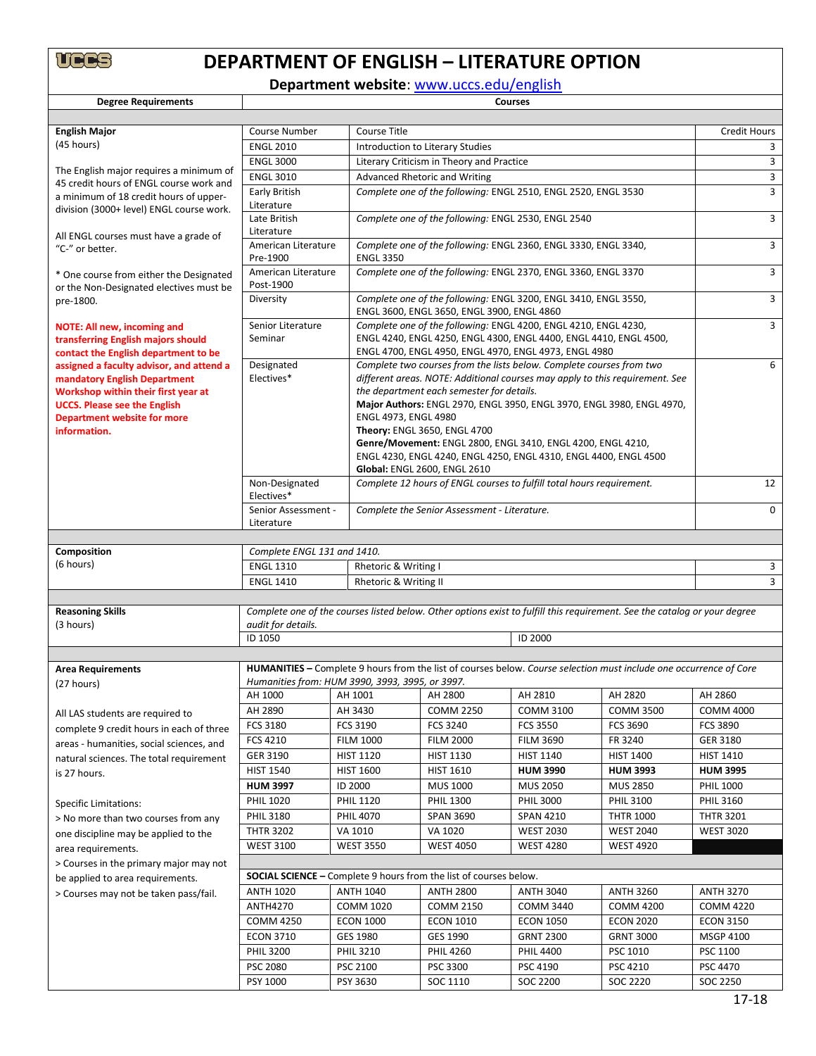

# **DEPARTMENT OF ENGLISH – LITERATURE OPTION**

**Department website**: [www.uccs.edu/english](http://www.uccs.edu/english)

**Degree Requirements** 

| <b>English Major</b>                                                              | <b>Course Number</b>             | Course Title                                                                                                              |                                                                              |                                                                              |                                                                                                                           |                  |  |  |
|-----------------------------------------------------------------------------------|----------------------------------|---------------------------------------------------------------------------------------------------------------------------|------------------------------------------------------------------------------|------------------------------------------------------------------------------|---------------------------------------------------------------------------------------------------------------------------|------------------|--|--|
| (45 hours)                                                                        | <b>ENGL 2010</b>                 |                                                                                                                           | Introduction to Literary Studies                                             |                                                                              |                                                                                                                           |                  |  |  |
|                                                                                   | <b>ENGL 3000</b>                 |                                                                                                                           | Literary Criticism in Theory and Practice                                    |                                                                              |                                                                                                                           |                  |  |  |
| The English major requires a minimum of                                           | <b>ENGL 3010</b>                 |                                                                                                                           | Advanced Rhetoric and Writing                                                |                                                                              |                                                                                                                           |                  |  |  |
| 45 credit hours of ENGL course work and<br>a minimum of 18 credit hours of upper- | Early British                    |                                                                                                                           |                                                                              | Complete one of the following: ENGL 2510, ENGL 2520, ENGL 3530               |                                                                                                                           | 3                |  |  |
| division (3000+ level) ENGL course work.                                          | Literature                       |                                                                                                                           |                                                                              |                                                                              |                                                                                                                           |                  |  |  |
|                                                                                   | Late British                     |                                                                                                                           | Complete one of the following: ENGL 2530, ENGL 2540                          |                                                                              |                                                                                                                           |                  |  |  |
| All ENGL courses must have a grade of                                             | Literature                       |                                                                                                                           |                                                                              |                                                                              |                                                                                                                           |                  |  |  |
| "C-" or better.                                                                   | American Literature              |                                                                                                                           | Complete one of the following: ENGL 2360, ENGL 3330, ENGL 3340,              |                                                                              |                                                                                                                           |                  |  |  |
|                                                                                   | Pre-1900                         |                                                                                                                           | <b>ENGL 3350</b>                                                             |                                                                              |                                                                                                                           | 3                |  |  |
| * One course from either the Designated                                           | American Literature<br>Post-1900 |                                                                                                                           | Complete one of the following: ENGL 2370, ENGL 3360, ENGL 3370               |                                                                              |                                                                                                                           |                  |  |  |
| or the Non-Designated electives must be<br>pre-1800.                              | Diversity                        |                                                                                                                           | Complete one of the following: ENGL 3200, ENGL 3410, ENGL 3550,              |                                                                              |                                                                                                                           |                  |  |  |
|                                                                                   |                                  |                                                                                                                           | ENGL 3600, ENGL 3650, ENGL 3900, ENGL 4860                                   |                                                                              |                                                                                                                           |                  |  |  |
| <b>NOTE: All new, incoming and</b>                                                | Senior Literature                |                                                                                                                           |                                                                              | Complete one of the following: ENGL 4200, ENGL 4210, ENGL 4230,              |                                                                                                                           | 3                |  |  |
| transferring English majors should                                                | Seminar                          |                                                                                                                           | ENGL 4240, ENGL 4250, ENGL 4300, ENGL 4400, ENGL 4410, ENGL 4500,            |                                                                              |                                                                                                                           |                  |  |  |
| contact the English department to be                                              |                                  |                                                                                                                           |                                                                              | ENGL 4700, ENGL 4950, ENGL 4970, ENGL 4973, ENGL 4980                        |                                                                                                                           |                  |  |  |
| assigned a faculty advisor, and attend a                                          | Designated                       |                                                                                                                           |                                                                              | Complete two courses from the lists below. Complete courses from two         |                                                                                                                           | 6                |  |  |
| mandatory English Department                                                      | Electives*                       |                                                                                                                           |                                                                              | different areas. NOTE: Additional courses may apply to this requirement. See |                                                                                                                           |                  |  |  |
| Workshop within their first year at<br><b>UCCS. Please see the English</b>        |                                  |                                                                                                                           | the department each semester for details.                                    | Major Authors: ENGL 2970, ENGL 3950, ENGL 3970, ENGL 3980, ENGL 4970,        |                                                                                                                           |                  |  |  |
| Department website for more                                                       |                                  | ENGL 4973, ENGL 4980                                                                                                      |                                                                              |                                                                              |                                                                                                                           |                  |  |  |
| information.                                                                      |                                  |                                                                                                                           | Theory: ENGL 3650, ENGL 4700                                                 |                                                                              |                                                                                                                           |                  |  |  |
|                                                                                   |                                  |                                                                                                                           |                                                                              | Genre/Movement: ENGL 2800, ENGL 3410, ENGL 4200, ENGL 4210,                  |                                                                                                                           |                  |  |  |
|                                                                                   |                                  |                                                                                                                           |                                                                              | ENGL 4230, ENGL 4240, ENGL 4250, ENGL 4310, ENGL 4400, ENGL 4500             |                                                                                                                           |                  |  |  |
|                                                                                   |                                  |                                                                                                                           | Global: ENGL 2600, ENGL 2610                                                 |                                                                              |                                                                                                                           |                  |  |  |
|                                                                                   | Non-Designated<br>Electives*     |                                                                                                                           |                                                                              | Complete 12 hours of ENGL courses to fulfill total hours requirement.        |                                                                                                                           | 12               |  |  |
|                                                                                   | Senior Assessment -              |                                                                                                                           |                                                                              |                                                                              |                                                                                                                           | $\Omega$         |  |  |
|                                                                                   | Literature                       |                                                                                                                           | Complete the Senior Assessment - Literature.                                 |                                                                              |                                                                                                                           |                  |  |  |
|                                                                                   |                                  |                                                                                                                           |                                                                              |                                                                              |                                                                                                                           |                  |  |  |
| Composition                                                                       | Complete ENGL 131 and 1410.      |                                                                                                                           |                                                                              |                                                                              |                                                                                                                           |                  |  |  |
| (6 hours)                                                                         | <b>ENGL 1310</b>                 | Rhetoric & Writing I                                                                                                      |                                                                              | 3                                                                            |                                                                                                                           |                  |  |  |
|                                                                                   | <b>ENGL 1410</b>                 |                                                                                                                           | Rhetoric & Writing II                                                        |                                                                              |                                                                                                                           |                  |  |  |
|                                                                                   |                                  |                                                                                                                           |                                                                              |                                                                              |                                                                                                                           |                  |  |  |
| <b>Reasoning Skills</b>                                                           |                                  |                                                                                                                           |                                                                              |                                                                              |                                                                                                                           |                  |  |  |
| (3 hours)                                                                         | audit for details.               | Complete one of the courses listed below. Other options exist to fulfill this requirement. See the catalog or your degree |                                                                              |                                                                              |                                                                                                                           |                  |  |  |
|                                                                                   | ID 1050                          |                                                                                                                           |                                                                              | ID 2000                                                                      |                                                                                                                           |                  |  |  |
|                                                                                   |                                  |                                                                                                                           |                                                                              |                                                                              |                                                                                                                           |                  |  |  |
| <b>Area Requirements</b>                                                          |                                  |                                                                                                                           |                                                                              |                                                                              | <b>HUMANITIES</b> – Complete 9 hours from the list of courses below. Course selection must include one occurrence of Core |                  |  |  |
| (27 hours)                                                                        |                                  | Humanities from: HUM 3990, 3993, 3995, or 3997.                                                                           |                                                                              |                                                                              |                                                                                                                           |                  |  |  |
|                                                                                   | AH 1000                          | AH 1001                                                                                                                   | AH 2800                                                                      | AH 2810                                                                      | AH 2820                                                                                                                   | AH 2860          |  |  |
| All LAS students are required to                                                  | AH 2890                          | AH 3430                                                                                                                   | <b>COMM 2250</b>                                                             | <b>COMM 3100</b>                                                             | <b>COMM 3500</b>                                                                                                          | <b>COMM 4000</b> |  |  |
| complete 9 credit hours in each of three                                          | FCS 3180                         | FCS 3190                                                                                                                  | FCS 3240                                                                     | <b>FCS 3550</b>                                                              | FCS 3690                                                                                                                  | <b>FCS 3890</b>  |  |  |
| areas - humanities, social sciences, and                                          | FCS 4210                         | <b>FILM 1000</b>                                                                                                          | <b>FILM 2000</b>                                                             | <b>FILM 3690</b>                                                             | FR 3240                                                                                                                   | GER 3180         |  |  |
| natural sciences. The total requirement                                           | GER 3190                         | <b>HIST 1120</b>                                                                                                          | <b>HIST 1130</b>                                                             | <b>HIST 1140</b>                                                             | <b>HIST 1400</b>                                                                                                          | <b>HIST 1410</b> |  |  |
| is 27 hours.                                                                      | <b>HIST 1540</b>                 | <b>HIST 1600</b>                                                                                                          | <b>HIST 1610</b>                                                             | <b>HUM 3990</b>                                                              | <b>HUM 3993</b>                                                                                                           | <b>HUM 3995</b>  |  |  |
|                                                                                   | <b>HUM 3997</b>                  | ID 2000                                                                                                                   | MUS 1000                                                                     | <b>MUS 2050</b>                                                              | MUS 2850                                                                                                                  | <b>PHIL 1000</b> |  |  |
| <b>Specific Limitations:</b>                                                      | <b>PHIL 1020</b>                 | <b>PHIL 1120</b>                                                                                                          | PHIL 1300                                                                    | <b>PHIL 3000</b>                                                             | PHIL 3100                                                                                                                 | <b>PHIL 3160</b> |  |  |
| > No more than two courses from any                                               | PHIL 3180                        | <b>PHIL 4070</b>                                                                                                          | <b>SPAN 3690</b>                                                             | <b>SPAN 4210</b>                                                             | <b>THTR 1000</b>                                                                                                          | <b>THTR 3201</b> |  |  |
| one discipline may be applied to the                                              | <b>THTR 3202</b>                 | VA 1010                                                                                                                   | VA 1020                                                                      | <b>WEST 2030</b>                                                             | <b>WEST 2040</b>                                                                                                          | <b>WEST 3020</b> |  |  |
| area requirements.                                                                | <b>WEST 3100</b>                 |                                                                                                                           | <b>WEST 4050</b><br><b>WEST 3550</b><br><b>WEST 4280</b><br><b>WEST 4920</b> |                                                                              |                                                                                                                           |                  |  |  |
| > Courses in the primary major may not                                            |                                  |                                                                                                                           |                                                                              |                                                                              |                                                                                                                           |                  |  |  |
| be applied to area requirements.                                                  |                                  | <b>SOCIAL SCIENCE</b> – Complete 9 hours from the list of courses below.                                                  |                                                                              |                                                                              |                                                                                                                           |                  |  |  |
| > Courses may not be taken pass/fail.                                             | <b>ANTH 1020</b>                 | <b>ANTH 1040</b>                                                                                                          | <b>ANTH 2800</b>                                                             | <b>ANTH 3040</b>                                                             | <b>ANTH 3260</b>                                                                                                          | <b>ANTH 3270</b> |  |  |
|                                                                                   | <b>ANTH4270</b>                  | <b>COMM 1020</b>                                                                                                          | <b>COMM 2150</b>                                                             | <b>COMM 3440</b>                                                             | <b>COMM 4200</b>                                                                                                          | <b>COMM 4220</b> |  |  |
|                                                                                   | <b>COMM 4250</b>                 | <b>ECON 1000</b>                                                                                                          | <b>ECON 1010</b>                                                             | <b>ECON 1050</b>                                                             | <b>ECON 2020</b>                                                                                                          | <b>ECON 3150</b> |  |  |
|                                                                                   | <b>ECON 3710</b>                 | GES 1980                                                                                                                  | GES 1990                                                                     | <b>GRNT 2300</b>                                                             | <b>GRNT 3000</b>                                                                                                          | <b>MSGP 4100</b> |  |  |
|                                                                                   | <b>PHIL 3200</b>                 | <b>PHIL 3210</b>                                                                                                          | <b>PHIL 4260</b>                                                             | <b>PHIL 4400</b>                                                             | PSC 1010                                                                                                                  | PSC 1100         |  |  |
|                                                                                   | <b>PSC 2080</b>                  | PSC 2100                                                                                                                  | PSC 3300                                                                     | PSC 4190                                                                     | PSC 4210                                                                                                                  | PSC 4470         |  |  |
|                                                                                   | PSY 1000                         | PSY 3630                                                                                                                  | SOC 1110                                                                     | SOC 2200                                                                     | SOC 2220                                                                                                                  | SOC 2250         |  |  |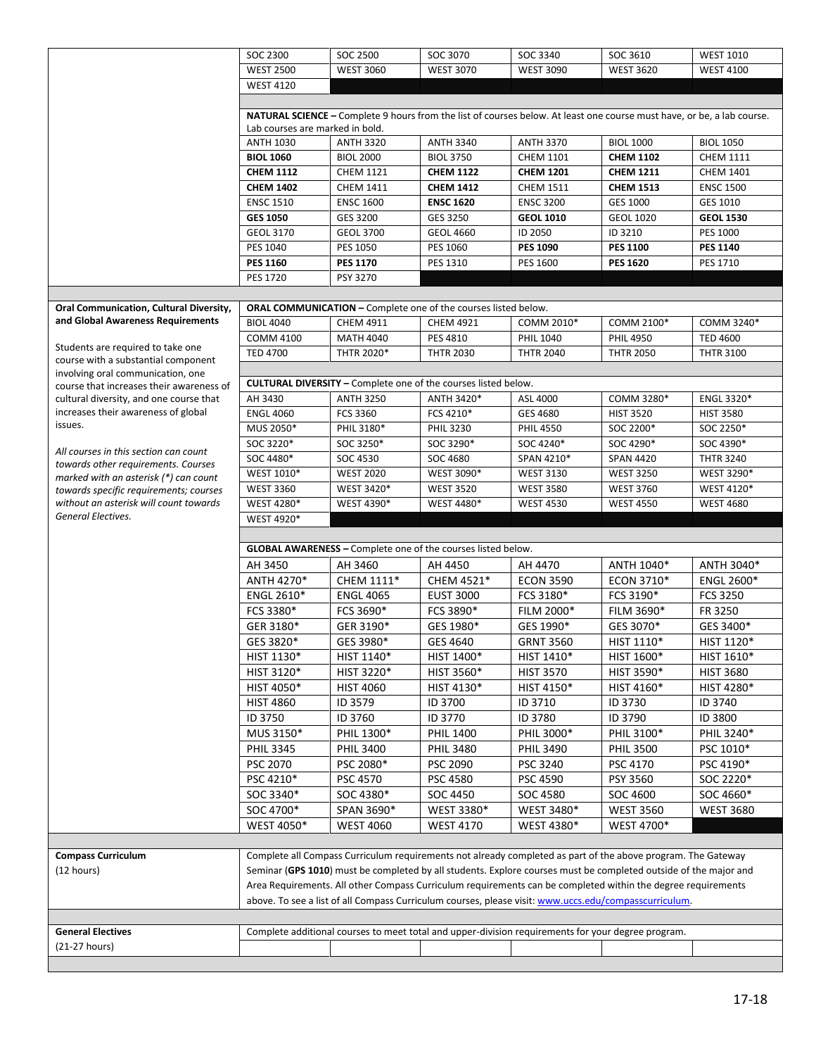|                                                                                  | SOC 2300                        | SOC 2500                                                              | SOC 3070         | SOC 3340                                                                                                               | SOC 3610         | <b>WEST 1010</b> |  |  |
|----------------------------------------------------------------------------------|---------------------------------|-----------------------------------------------------------------------|------------------|------------------------------------------------------------------------------------------------------------------------|------------------|------------------|--|--|
|                                                                                  | <b>WEST 2500</b>                | <b>WEST 3060</b>                                                      | <b>WEST 3070</b> | <b>WEST 3090</b>                                                                                                       | <b>WEST 3620</b> | <b>WEST 4100</b> |  |  |
|                                                                                  | <b>WEST 4120</b>                |                                                                       |                  |                                                                                                                        |                  |                  |  |  |
|                                                                                  |                                 |                                                                       |                  |                                                                                                                        |                  |                  |  |  |
|                                                                                  |                                 |                                                                       |                  | NATURAL SCIENCE - Complete 9 hours from the list of courses below. At least one course must have, or be, a lab course. |                  |                  |  |  |
|                                                                                  | Lab courses are marked in bold. |                                                                       |                  |                                                                                                                        |                  |                  |  |  |
|                                                                                  | <b>ANTH 1030</b>                | <b>ANTH 3320</b>                                                      | <b>ANTH 3340</b> | <b>ANTH 3370</b>                                                                                                       | <b>BIOL 1000</b> | <b>BIOL 1050</b> |  |  |
|                                                                                  | <b>BIOL 1060</b>                | <b>BIOL 2000</b>                                                      | <b>BIOL 3750</b> | <b>CHEM 1101</b>                                                                                                       | <b>CHEM 1102</b> | <b>CHEM 1111</b> |  |  |
|                                                                                  | <b>CHEM 1112</b>                | <b>CHEM 1121</b>                                                      | <b>CHEM 1122</b> | <b>CHEM 1201</b>                                                                                                       | <b>CHEM 1211</b> | <b>CHEM 1401</b> |  |  |
|                                                                                  | <b>CHEM 1402</b>                | <b>CHEM 1411</b>                                                      | <b>CHEM 1412</b> | <b>CHEM 1511</b>                                                                                                       | <b>CHEM 1513</b> | <b>ENSC 1500</b> |  |  |
|                                                                                  | <b>ENSC 1510</b>                | <b>ENSC 1600</b>                                                      | <b>ENSC 1620</b> | <b>ENSC 3200</b>                                                                                                       | GES 1000         | GES 1010         |  |  |
|                                                                                  | <b>GES 1050</b>                 | GES 3200                                                              | GES 3250         | <b>GEOL 1010</b>                                                                                                       | <b>GEOL 1020</b> | <b>GEOL 1530</b> |  |  |
|                                                                                  | GEOL 3170                       | <b>GEOL 3700</b>                                                      | <b>GEOL 4660</b> | ID 2050                                                                                                                | ID 3210          | PES 1000         |  |  |
|                                                                                  | PES 1040                        | PES 1050                                                              | PES 1060         | <b>PES 1090</b>                                                                                                        | <b>PES 1100</b>  | <b>PES 1140</b>  |  |  |
|                                                                                  | <b>PES 1160</b>                 | <b>PES 1170</b>                                                       | PES 1310         | PES 1600                                                                                                               | <b>PES 1620</b>  | PES 1710         |  |  |
|                                                                                  | <b>PES 1720</b>                 | PSY 3270                                                              |                  |                                                                                                                        |                  |                  |  |  |
|                                                                                  |                                 |                                                                       |                  |                                                                                                                        |                  |                  |  |  |
| Oral Communication, Cultural Diversity,                                          |                                 | ORAL COMMUNICATION - Complete one of the courses listed below.        |                  |                                                                                                                        |                  |                  |  |  |
| and Global Awareness Requirements                                                | <b>BIOL 4040</b>                | CHEM 4911                                                             | <b>CHEM 4921</b> | COMM 2010*                                                                                                             | COMM 2100*       | COMM 3240*       |  |  |
|                                                                                  | <b>COMM 4100</b>                | <b>MATH 4040</b>                                                      | PES 4810         | <b>PHIL 1040</b>                                                                                                       | <b>PHIL 4950</b> | <b>TED 4600</b>  |  |  |
| Students are required to take one                                                | <b>TED 4700</b>                 | THTR 2020*                                                            | <b>THTR 2030</b> | <b>THTR 2040</b>                                                                                                       | <b>THTR 2050</b> | <b>THTR 3100</b> |  |  |
| course with a substantial component                                              |                                 |                                                                       |                  |                                                                                                                        |                  |                  |  |  |
| involving oral communication, one<br>course that increases their awareness of    |                                 | <b>CULTURAL DIVERSITY - Complete one of the courses listed below.</b> |                  |                                                                                                                        |                  |                  |  |  |
| cultural diversity, and one course that                                          | AH 3430                         | <b>ANTH 3250</b>                                                      | ANTH 3420*       | ASL 4000                                                                                                               | COMM 3280*       | ENGL 3320*       |  |  |
| increases their awareness of global                                              | <b>ENGL 4060</b>                | FCS 3360                                                              | FCS 4210*        | GES 4680                                                                                                               | <b>HIST 3520</b> | <b>HIST 3580</b> |  |  |
| issues.                                                                          | MUS 2050*                       | PHIL 3180*                                                            | PHIL 3230        | <b>PHIL 4550</b>                                                                                                       | SOC 2200*        | SOC 2250*        |  |  |
|                                                                                  | SOC 3220*                       | SOC 3250*                                                             | SOC 3290*        | SOC 4240*                                                                                                              | SOC 4290*        | SOC 4390*        |  |  |
| All courses in this section can count                                            | SOC 4480*                       | SOC 4530                                                              | SOC 4680         | SPAN 4210*                                                                                                             | <b>SPAN 4420</b> | <b>THTR 3240</b> |  |  |
| towards other requirements. Courses                                              | WEST 1010*                      | <b>WEST 2020</b>                                                      | WEST 3090*       | <b>WEST 3130</b>                                                                                                       | <b>WEST 3250</b> | WEST 3290*       |  |  |
| marked with an asterisk (*) can count                                            | <b>WEST 3360</b>                | WEST 3420*                                                            | <b>WEST 3520</b> | <b>WEST 3580</b>                                                                                                       | <b>WEST 3760</b> | WEST 4120*       |  |  |
| towards specific requirements; courses<br>without an asterisk will count towards | WEST 4280*                      | WEST 4390*                                                            | WEST 4480*       | <b>WEST 4530</b>                                                                                                       | <b>WEST 4550</b> | <b>WEST 4680</b> |  |  |
|                                                                                  |                                 |                                                                       |                  |                                                                                                                        |                  |                  |  |  |
|                                                                                  |                                 |                                                                       |                  |                                                                                                                        |                  |                  |  |  |
| General Electives.                                                               | WEST 4920*                      |                                                                       |                  |                                                                                                                        |                  |                  |  |  |
|                                                                                  |                                 |                                                                       |                  |                                                                                                                        |                  |                  |  |  |
|                                                                                  |                                 | <b>GLOBAL AWARENESS</b> - Complete one of the courses listed below.   |                  |                                                                                                                        |                  |                  |  |  |
|                                                                                  | AH 3450                         | AH 3460                                                               | AH 4450          | AH 4470                                                                                                                | ANTH 1040*       | ANTH 3040*       |  |  |
|                                                                                  | ANTH 4270*                      | CHEM 1111*                                                            | CHEM 4521*       | <b>ECON 3590</b>                                                                                                       | ECON 3710*       | ENGL 2600*       |  |  |
|                                                                                  | <b>ENGL 2610*</b>               | <b>ENGL 4065</b>                                                      | <b>EUST 3000</b> | FCS 3180*                                                                                                              | FCS 3190*        | <b>FCS 3250</b>  |  |  |
|                                                                                  | FCS 3380*                       | FCS 3690*                                                             | FCS 3890*        | FILM 2000*                                                                                                             | FILM 3690*       | FR 3250          |  |  |
|                                                                                  | GER 3180*                       | GER 3190*                                                             | GES 1980*        | GES 1990*                                                                                                              | GES 3070*        | GES 3400*        |  |  |
|                                                                                  | GES 3820*                       | GES 3980*                                                             | GES 4640         | <b>GRNT 3560</b>                                                                                                       | HIST 1110*       | HIST 1120*       |  |  |
|                                                                                  | HIST 1130*                      | HIST 1140*                                                            | HIST 1400*       | HIST 1410*                                                                                                             | HIST 1600*       | HIST 1610*       |  |  |
|                                                                                  | HIST 3120*                      | HIST 3220*                                                            | HIST 3560*       | <b>HIST 3570</b>                                                                                                       | HIST 3590*       | <b>HIST 3680</b> |  |  |
|                                                                                  | HIST 4050*                      | <b>HIST 4060</b>                                                      | HIST 4130*       | HIST 4150*                                                                                                             | HIST 4160*       | HIST 4280*       |  |  |
|                                                                                  | <b>HIST 4860</b>                | ID 3579                                                               | ID 3700          | ID 3710                                                                                                                | ID 3730          | ID 3740          |  |  |
|                                                                                  | ID 3750                         | ID 3760                                                               | ID 3770          | ID 3780                                                                                                                | ID 3790          | ID 3800          |  |  |
|                                                                                  | MUS 3150*                       | PHIL 1300*                                                            | <b>PHIL 1400</b> | PHIL 3000*                                                                                                             | PHIL 3100*       | PHIL 3240*       |  |  |
|                                                                                  | <b>PHIL 3345</b>                | <b>PHIL 3400</b>                                                      | <b>PHIL 3480</b> | <b>PHIL 3490</b>                                                                                                       | <b>PHIL 3500</b> | PSC 1010*        |  |  |
|                                                                                  | <b>PSC 2070</b>                 | PSC 2080*                                                             | <b>PSC 2090</b>  | PSC 3240                                                                                                               | PSC 4170         | PSC 4190*        |  |  |
|                                                                                  | PSC 4210*                       | PSC 4570                                                              | PSC 4580         | PSC 4590                                                                                                               | PSY 3560         | SOC 2220*        |  |  |
|                                                                                  | SOC 3340*                       | SOC 4380*                                                             | SOC 4450         | SOC 4580                                                                                                               | SOC 4600         | SOC 4660*        |  |  |
|                                                                                  | SOC 4700*                       | SPAN 3690*                                                            | WEST 3380*       | WEST 3480*                                                                                                             | <b>WEST 3560</b> | <b>WEST 3680</b> |  |  |
|                                                                                  | WEST 4050*                      |                                                                       |                  |                                                                                                                        | WEST 4700*       |                  |  |  |
|                                                                                  |                                 | <b>WEST 4060</b>                                                      | <b>WEST 4170</b> | WEST 4380*                                                                                                             |                  |                  |  |  |
| <b>Compass Curriculum</b>                                                        |                                 |                                                                       |                  | Complete all Compass Curriculum requirements not already completed as part of the above program. The Gateway           |                  |                  |  |  |
|                                                                                  |                                 |                                                                       |                  |                                                                                                                        |                  |                  |  |  |
| (12 hours)                                                                       |                                 |                                                                       |                  | Seminar (GPS 1010) must be completed by all students. Explore courses must be completed outside of the major and       |                  |                  |  |  |
|                                                                                  |                                 |                                                                       |                  | Area Requirements. All other Compass Curriculum requirements can be completed within the degree requirements           |                  |                  |  |  |
|                                                                                  |                                 |                                                                       |                  | above. To see a list of all Compass Curriculum courses, please visit: www.uccs.edu/compasscurriculum.                  |                  |                  |  |  |
|                                                                                  |                                 |                                                                       |                  |                                                                                                                        |                  |                  |  |  |
| <b>General Electives</b><br>(21-27 hours)                                        |                                 |                                                                       |                  | Complete additional courses to meet total and upper-division requirements for your degree program.                     |                  |                  |  |  |